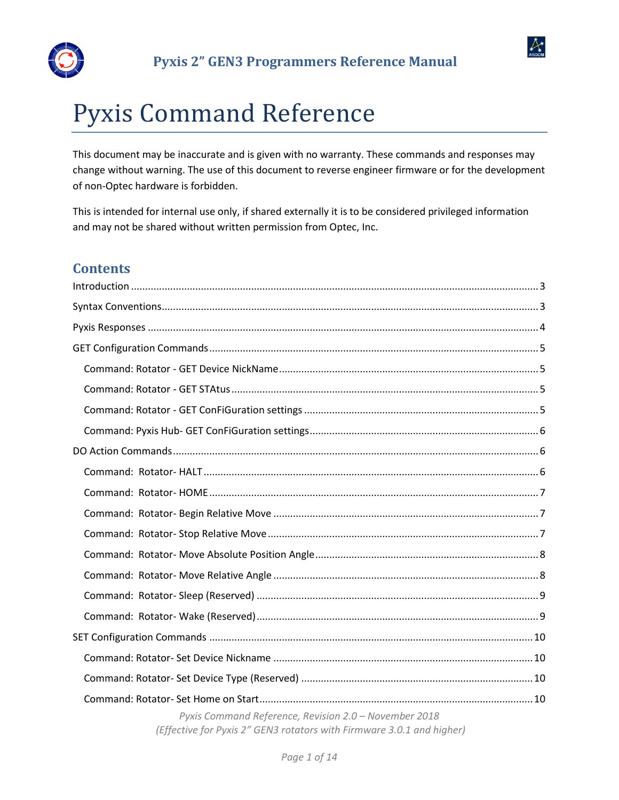



# Pyxis Command Reference

This document may be inaccurate and is given with no warranty. These commands and responses may change without warning. The use of this document to reverse engineer firmware or for the development of non-Optec hardware is forbidden.

This is intended for internal use only, if shared externally it is to be considered privileged information and may not be shared without written permission from Optec, Inc.

# **Contents**

| Pyxis Command Reference, Revision 2.0 - November 2018<br>(Effective for Pyxis 2" GEN3 rotators with Firmware 3.0.1 and higher) |
|--------------------------------------------------------------------------------------------------------------------------------|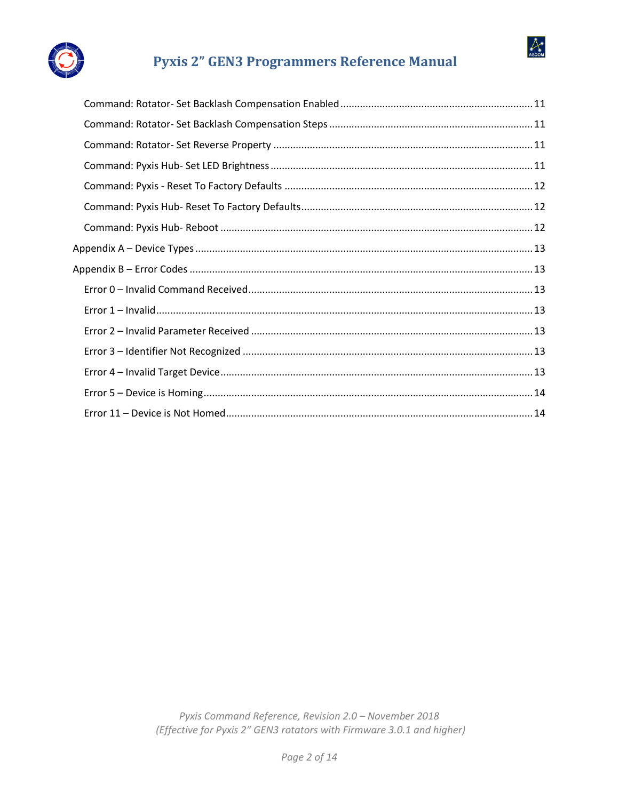

 $\mathbb{A}_{\tiny{\text{ascom}}}$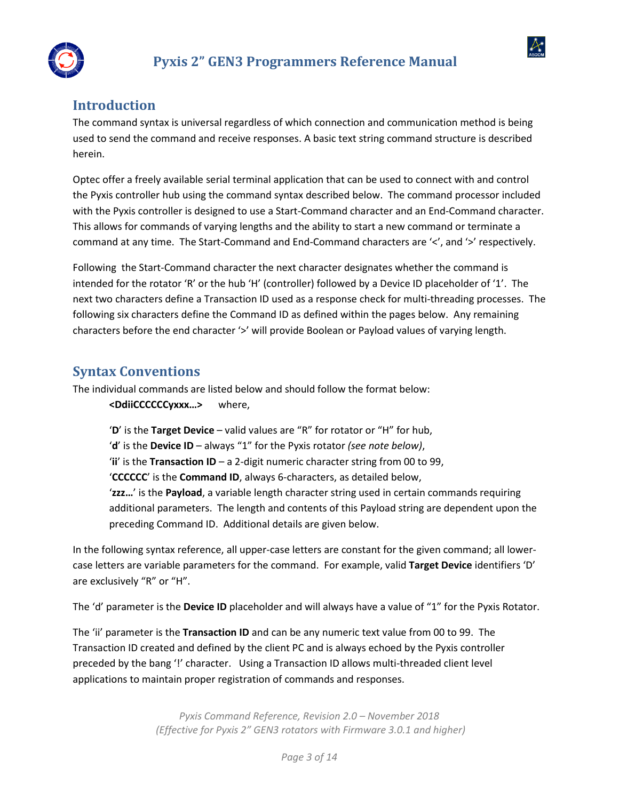



# <span id="page-2-0"></span>**Introduction**

The command syntax is universal regardless of which connection and communication method is being used to send the command and receive responses. A basic text string command structure is described herein.

Optec offer a freely available serial terminal application that can be used to connect with and control the Pyxis controller hub using the command syntax described below. The command processor included with the Pyxis controller is designed to use a Start-Command character and an End-Command character. This allows for commands of varying lengths and the ability to start a new command or terminate a command at any time. The Start-Command and End-Command characters are '<', and '>' respectively.

Following the Start-Command character the next character designates whether the command is intended for the rotator 'R' or the hub 'H' (controller) followed by a Device ID placeholder of '1'. The next two characters define a Transaction ID used as a response check for multi-threading processes. The following six characters define the Command ID as defined within the pages below. Any remaining characters before the end character '>' will provide Boolean or Payload values of varying length.

## <span id="page-2-1"></span>**Syntax Conventions**

The individual commands are listed below and should follow the format below: **<DdiiCCCCCCyxxx…>** where,

> '**D**' is the **Target Device** – valid values are "R" for rotator or "H" for hub, '**d**' is the **Device ID** – always "1" for the Pyxis rotator *(see note below)*, '**ii**' is the **Transaction ID** – a 2-digit numeric character string from 00 to 99, '**CCCCCC**' is the **Command ID**, always 6-characters, as detailed below, '**zzz…**' is the **Payload**, a variable length character string used in certain commands requiring additional parameters. The length and contents of this Payload string are dependent upon the preceding Command ID. Additional details are given below.

In the following syntax reference, all upper-case letters are constant for the given command; all lowercase letters are variable parameters for the command. For example, valid **Target Device** identifiers 'D' are exclusively "R" or "H".

The 'd' parameter is the **Device ID** placeholder and will always have a value of "1" for the Pyxis Rotator.

The 'ii' parameter is the **Transaction ID** and can be any numeric text value from 00 to 99. The Transaction ID created and defined by the client PC and is always echoed by the Pyxis controller preceded by the bang '!' character. Using a Transaction ID allows multi-threaded client level applications to maintain proper registration of commands and responses.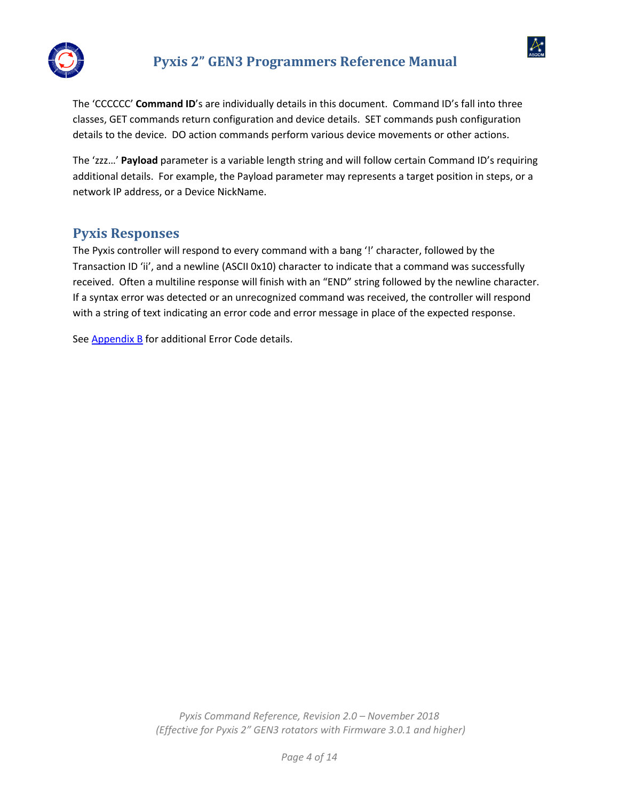

 $\alpha$ 

The 'CCCCCC' **Command ID**'s are individually details in this document. Command ID's fall into three classes, GET commands return configuration and device details. SET commands push configuration details to the device. DO action commands perform various device movements or other actions.

The 'zzz…' **Payload** parameter is a variable length string and will follow certain Command ID's requiring additional details. For example, the Payload parameter may represents a target position in steps, or a network IP address, or a Device NickName.

## <span id="page-3-0"></span>**Pyxis Responses**

The Pyxis controller will respond to every command with a bang '!' character, followed by the Transaction ID 'ii', and a newline (ASCII 0x10) character to indicate that a command was successfully received. Often a multiline response will finish with an "END" string followed by the newline character. If a syntax error was detected or an unrecognized command was received, the controller will respond with a string of text indicating an error code and error message in place of the expected response.

See **Appendix B** for additional Error Code details.

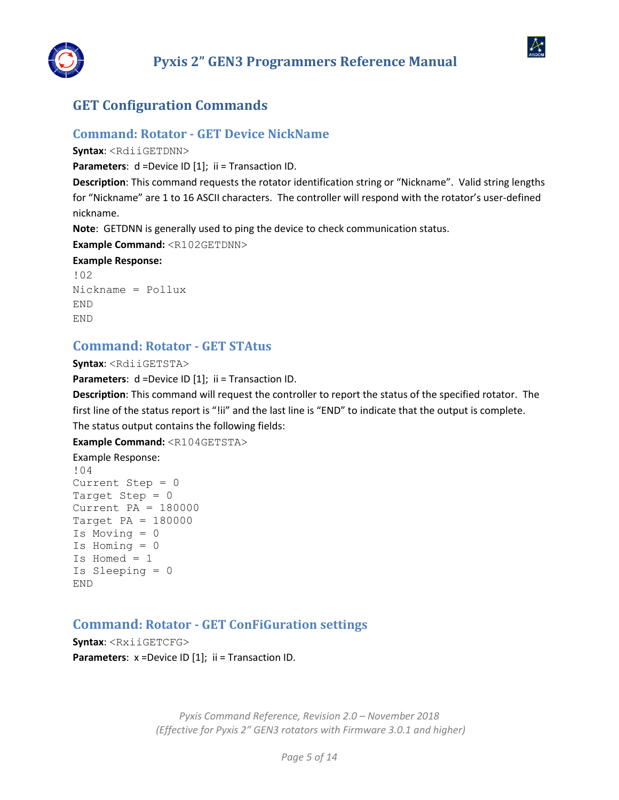



## <span id="page-4-0"></span>**GET Configuration Commands**

## <span id="page-4-1"></span>**Command: Rotator - GET Device NickName**

**Syntax**: <RdiiGETDNN>

**Parameters**: d =Device ID [1]; ii = Transaction ID.

**Description**: This command requests the rotator identification string or "Nickname". Valid string lengths for "Nickname" are 1 to 16 ASCII characters. The controller will respond with the rotator's user-defined nickname.

**Note**: GETDNN is generally used to ping the device to check communication status.

**Example Command:** <R102GETDNN>

#### **Example Response:**

```
!02
Nickname = Pollux
END
END
```
## <span id="page-4-2"></span>**Command: Rotator - GET STAtus**

**Syntax**: <RdiiGETSTA>

**Parameters**: d =Device ID [1]; ii = Transaction ID.

**Description**: This command will request the controller to report the status of the specified rotator. The first line of the status report is "!ii" and the last line is "END" to indicate that the output is complete. The status output contains the following fields:

**Example Command:** <R104GETSTA>

Example Response: !04 Current Step = 0 Target Step  $= 0$ Current PA = 180000 Target PA = 180000 Is Moving = 0 Is Homing  $= 0$ Is Homed = 1 Is Sleeping = 0 END

## <span id="page-4-3"></span>**Command: Rotator - GET ConFiGuration settings**

**Syntax**: <RxiiGETCFG> **Parameters**:  $x = Device ID [1]$ ; ii = Transaction ID.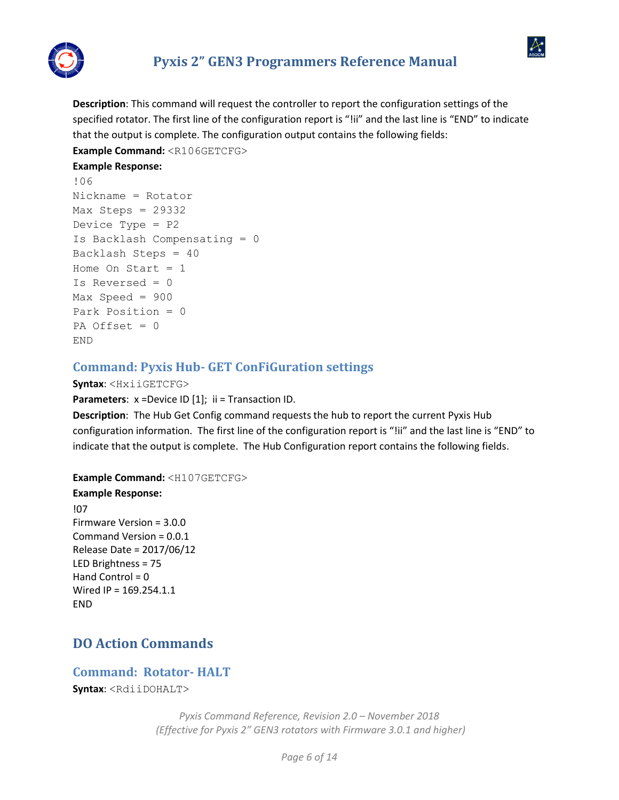

 $\mathcal{A}$ 

**Description**: This command will request the controller to report the configuration settings of the specified rotator. The first line of the configuration report is "!ii" and the last line is "END" to indicate that the output is complete. The configuration output contains the following fields:

**Example Command:** <R106GETCFG>

### **Example Response:**

```
!06
Nickname = Rotator
Max Steps = 29332
Device Type = P2
Is Backlash Compensating = 0
Backlash Steps = 40
Home On Start = 1Is Reversed = 0
Max Speed = 900
Park Position = 0
PA Offset = 0END
```
## <span id="page-5-0"></span>**Command: Pyxis Hub- GET ConFiGuration settings**

#### **Syntax**: <HxiiGETCFG>

**Parameters**:  $x = Device ID [1]$ ; ii = Transaction ID.

**Description**: The Hub Get Config command requests the hub to report the current Pyxis Hub configuration information. The first line of the configuration report is "!ii" and the last line is "END" to indicate that the output is complete. The Hub Configuration report contains the following fields.

**Example Command:** <H107GETCFG>

#### **Example Response:**

!07 Firmware Version = 3.0.0 Command Version = 0.0.1 Release Date = 2017/06/12 LED Brightness = 75 Hand Control  $= 0$ Wired IP = 169.254.1.1 END

# <span id="page-5-1"></span>**DO Action Commands**

# <span id="page-5-2"></span>**Command: Rotator- HALT**

**Syntax**: <RdiiDOHALT>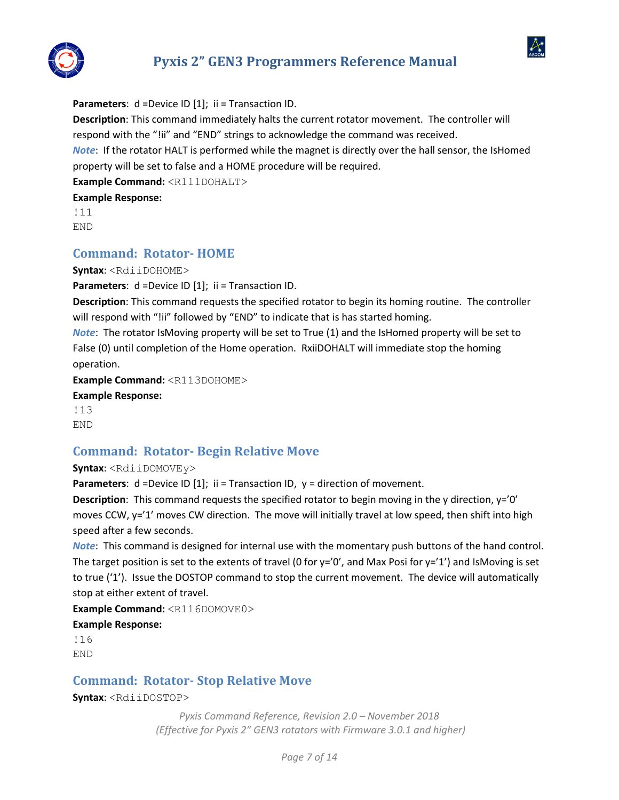



**Parameters:** d =Device ID [1]; ii = Transaction ID.

**Description**: This command immediately halts the current rotator movement. The controller will respond with the "!ii" and "END" strings to acknowledge the command was received.

*Note*: If the rotator HALT is performed while the magnet is directly over the hall sensor, the IsHomed property will be set to false and a HOME procedure will be required.

**Example Command:** <R111DOHALT>

**Example Response:** 

!11 END

## <span id="page-6-0"></span>**Command: Rotator- HOME**

**Syntax**: <RdiiDOHOME>

**Parameters:** d =Device ID [1]; ii = Transaction ID.

**Description**: This command requests the specified rotator to begin its homing routine. The controller will respond with "!ii" followed by "END" to indicate that is has started homing.

*Note*: The rotator IsMoving property will be set to True (1) and the IsHomed property will be set to False (0) until completion of the Home operation. RxiiDOHALT will immediate stop the homing operation.

**Example Command:** <R113DOHOME>

#### **Example Response:**

!13 END

## <span id="page-6-1"></span>**Command: Rotator- Begin Relative Move**

**Syntax**: <RdiiDOMOVEy>

**Parameters**: d =Device ID [1]; ii = Transaction ID, y = direction of movement.

**Description**: This command requests the specified rotator to begin moving in the y direction, y='0' moves CCW, y='1' moves CW direction. The move will initially travel at low speed, then shift into high speed after a few seconds.

*Note*: This command is designed for internal use with the momentary push buttons of the hand control. The target position is set to the extents of travel (0 for  $y=$ '0', and Max Posi for  $y=$ '1') and IsMoving is set to true ('1'). Issue the DOSTOP command to stop the current movement. The device will automatically stop at either extent of travel.

**Example Command:** <R116DOMOVE0> **Example Response:**  !16

END

## <span id="page-6-2"></span>**Command: Rotator- Stop Relative Move**

**Syntax**: <RdiiDOSTOP>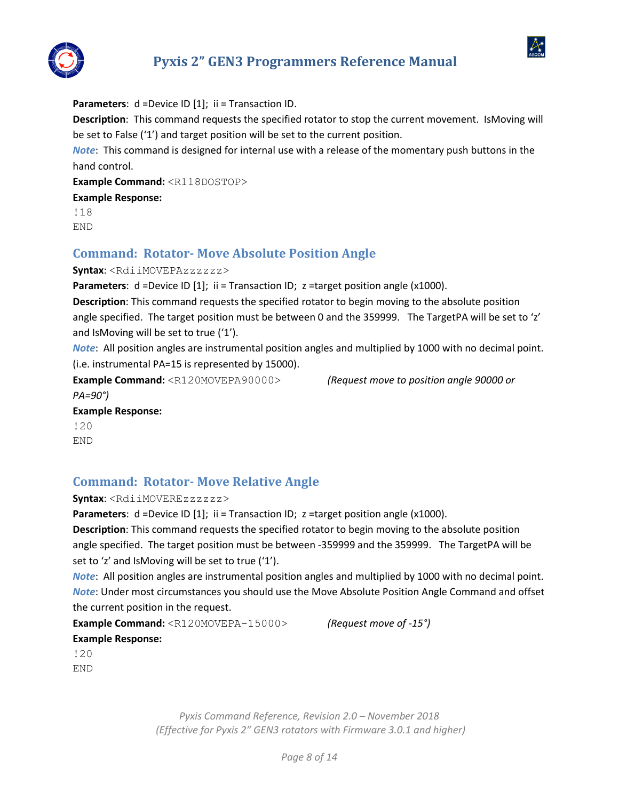



**Parameters**: d =Device ID [1]; ii = Transaction ID. **Description**: This command requests the specified rotator to stop the current movement. IsMoving will be set to False ('1') and target position will be set to the current position. *Note*: This command is designed for internal use with a release of the momentary push buttons in the hand control. **Example Command:** <R118DOSTOP> **Example Response:**  !18 END

## <span id="page-7-0"></span>**Command: Rotator- Move Absolute Position Angle**

**Syntax**: <RdiiMOVEPAzzzzzz>

Parameters: d =Device ID [1]; ii = Transaction ID; z =target position angle (x1000).

**Description**: This command requests the specified rotator to begin moving to the absolute position angle specified. The target position must be between 0 and the 359999. The TargetPA will be set to 'z' and IsMoving will be set to true ('1').

*Note*: All position angles are instrumental position angles and multiplied by 1000 with no decimal point. (i.e. instrumental PA=15 is represented by 15000).

**Example Command:** <R120MOVEPA90000> *(Request move to position angle 90000 or* 

*PA=90°)*

**Example Response:** 

!20 END

## <span id="page-7-1"></span>**Command: Rotator- Move Relative Angle**

**Syntax**: <RdiiMOVEREzzzzzz>

**Parameters**: d =Device ID [1]; ii = Transaction ID; z =target position angle (x1000).

**Description**: This command requests the specified rotator to begin moving to the absolute position angle specified. The target position must be between -359999 and the 359999. The TargetPA will be set to 'z' and IsMoving will be set to true ('1').

*Note*: All position angles are instrumental position angles and multiplied by 1000 with no decimal point. *Note*: Under most circumstances you should use the Move Absolute Position Angle Command and offset the current position in the request.

**Example Command:** <R120MOVEPA-15000> *(Request move of -15°)*  **Example Response:** 

!20 END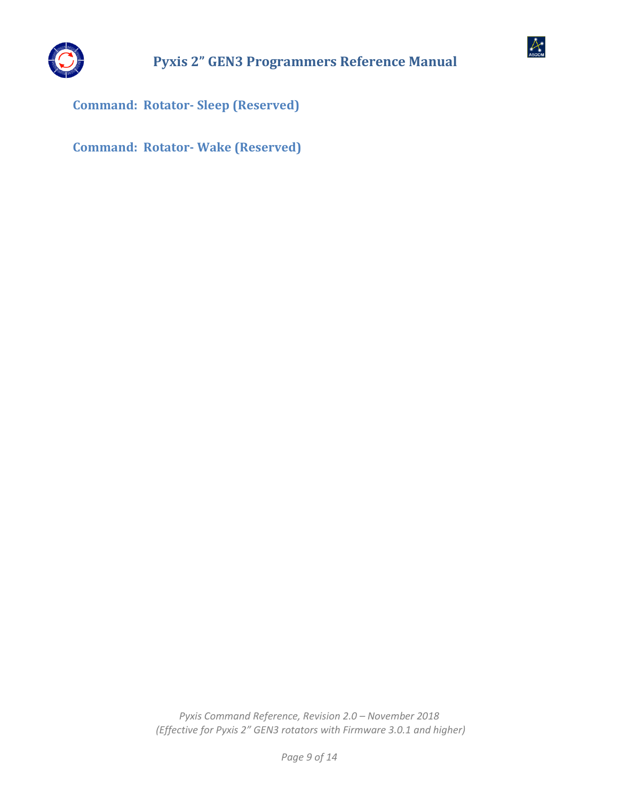



<span id="page-8-0"></span>**Command: Rotator- Sleep (Reserved)**

<span id="page-8-1"></span>**Command: Rotator- Wake (Reserved)**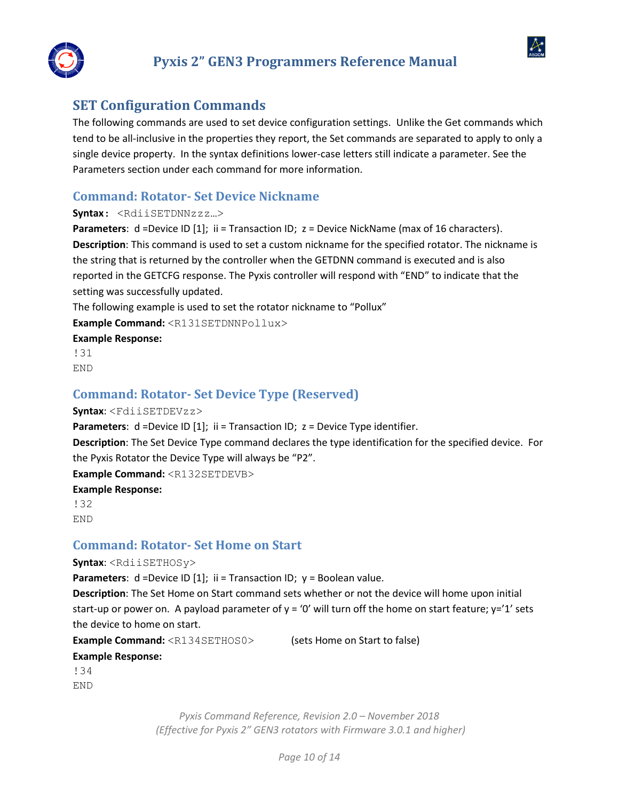



## <span id="page-9-0"></span>**SET Configuration Commands**

The following commands are used to set device configuration settings. Unlike the Get commands which tend to be all-inclusive in the properties they report, the Set commands are separated to apply to only a single device property. In the syntax definitions lower-case letters still indicate a parameter. See the Parameters section under each command for more information.

## <span id="page-9-1"></span>**Command: Rotator- Set Device Nickname**

#### **Syntax**: <RdiiSETDNNzzz…>

**Parameters**: d =Device ID [1]; ii = Transaction ID; z = Device NickName (max of 16 characters). **Description**: This command is used to set a custom nickname for the specified rotator. The nickname is the string that is returned by the controller when the GETDNN command is executed and is also reported in the GETCFG response. The Pyxis controller will respond with "END" to indicate that the setting was successfully updated.

The following example is used to set the rotator nickname to "Pollux"

**Example Command:** <R131SETDNNPollux>

**Example Response:** 

!31 END

## <span id="page-9-2"></span>**Command: Rotator- Set Device Type (Reserved)**

#### **Syntax**: <FdiiSETDEVzz>

**Parameters**: d =Device ID [1]; ii = Transaction ID; z = Device Type identifier.

**Description**: The Set Device Type command declares the type identification for the specified device. For the Pyxis Rotator the Device Type will always be "P2".

**Example Command:** <R132SETDEVB>

#### **Example Response:**

!32 END

## <span id="page-9-3"></span>**Command: Rotator- Set Home on Start**

**Syntax**: <RdiiSETHOSy>

**Parameters**: d = Device ID [1]; ii = Transaction ID; y = Boolean value.

**Description**: The Set Home on Start command sets whether or not the device will home upon initial start-up or power on. A payload parameter of  $y = '0'$  will turn off the home on start feature;  $y='1'$  sets the device to home on start.

**Example Command:** <R134SETHOS0> (sets Home on Start to false)

**Example Response:** 

!34 END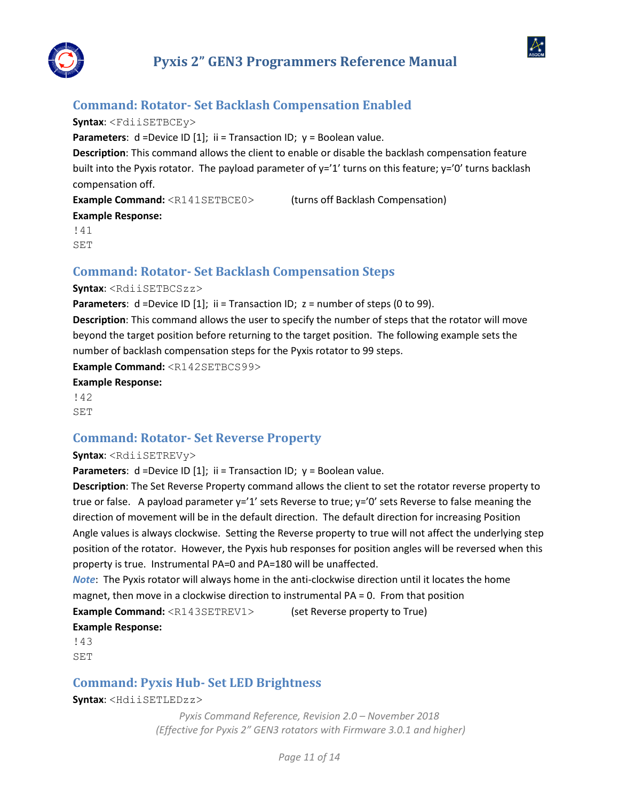

 $\alpha$ 

## <span id="page-10-0"></span>**Command: Rotator- Set Backlash Compensation Enabled**

#### **Syntax**: <FdiiSETBCEy>

**Parameters**: d = Device ID [1]; ii = Transaction ID; y = Boolean value.

**Description**: This command allows the client to enable or disable the backlash compensation feature built into the Pyxis rotator. The payload parameter of y='1' turns on this feature; y='0' turns backlash compensation off.

**Example Command:** <R141SETBCE0>
(turns off Backlash Compensation) **Example Response:** 

!41 SET

## <span id="page-10-1"></span>**Command: Rotator- Set Backlash Compensation Steps**

#### **Syntax**: <RdiiSETBCSzz>

**Parameters**: d =Device ID [1]; ii = Transaction ID; z = number of steps (0 to 99).

**Description**: This command allows the user to specify the number of steps that the rotator will move beyond the target position before returning to the target position. The following example sets the number of backlash compensation steps for the Pyxis rotator to 99 steps.

**Example Command:** <R142SETBCS99>

**Example Response:** 

!42 SET

## <span id="page-10-2"></span>**Command: Rotator- Set Reverse Property**

#### **Syntax**: <RdiiSETREVy>

**Parameters**: d = Device ID [1]; ii = Transaction ID; y = Boolean value.

**Description**: The Set Reverse Property command allows the client to set the rotator reverse property to true or false. A payload parameter  $y=1'$  sets Reverse to true;  $y=0'$  sets Reverse to false meaning the direction of movement will be in the default direction. The default direction for increasing Position Angle values is always clockwise. Setting the Reverse property to true will not affect the underlying step position of the rotator. However, the Pyxis hub responses for position angles will be reversed when this property is true. Instrumental PA=0 and PA=180 will be unaffected.

*Note*: The Pyxis rotator will always home in the anti-clockwise direction until it locates the home magnet, then move in a clockwise direction to instrumental PA = 0. From that position

**Example Command:** <R143SETREV1> (set Reverse property to True)

#### **Example Response:**

!43 SET

## <span id="page-10-3"></span>**Command: Pyxis Hub- Set LED Brightness**

**Syntax**: <HdiiSETLEDzz>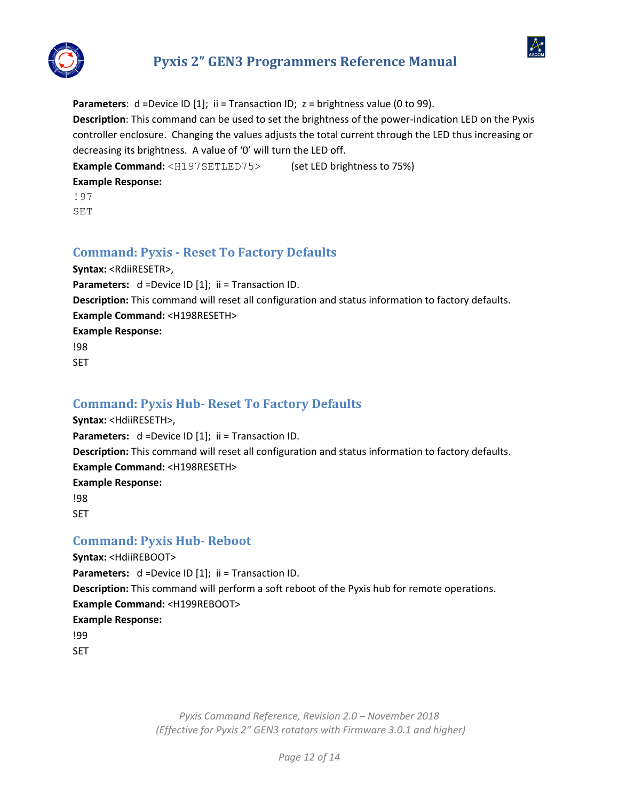

 $\mathcal{A}$ 

**Parameters**: d =Device ID [1]; ii = Transaction ID; z = brightness value (0 to 99). **Description**: This command can be used to set the brightness of the power-indication LED on the Pyxis controller enclosure. Changing the values adjusts the total current through the LED thus increasing or decreasing its brightness. A value of '0' will turn the LED off. **Example Command:** <H197SETLED75> (set LED brightness to 75%)

**Example Response:** 

!97

SET

# <span id="page-11-0"></span>**Command: Pyxis - Reset To Factory Defaults**

**Syntax:** <RdiiRESETR>, **Parameters:**  $d = Device ID [1];$  ii = Transaction ID. **Description:** This command will reset all configuration and status information to factory defaults. **Example Command:** <H198RESETH> **Example Response:** !98 SET

# <span id="page-11-1"></span>**Command: Pyxis Hub- Reset To Factory Defaults**

**Syntax:** <HdiiRESETH>, Parameters:  $d = Device ID [1]$ ; ii = Transaction ID. **Description:** This command will reset all configuration and status information to factory defaults. **Example Command:** <H198RESETH> **Example Response:** !98 **SFT** 

## <span id="page-11-2"></span>**Command: Pyxis Hub- Reboot**

**Syntax:** <HdiiREBOOT> **Parameters:**  $d = Device ID [1];$  ii = Transaction ID. **Description:** This command will perform a soft reboot of the Pyxis hub for remote operations. **Example Command:** <H199REBOOT> **Example Response:** !99

SET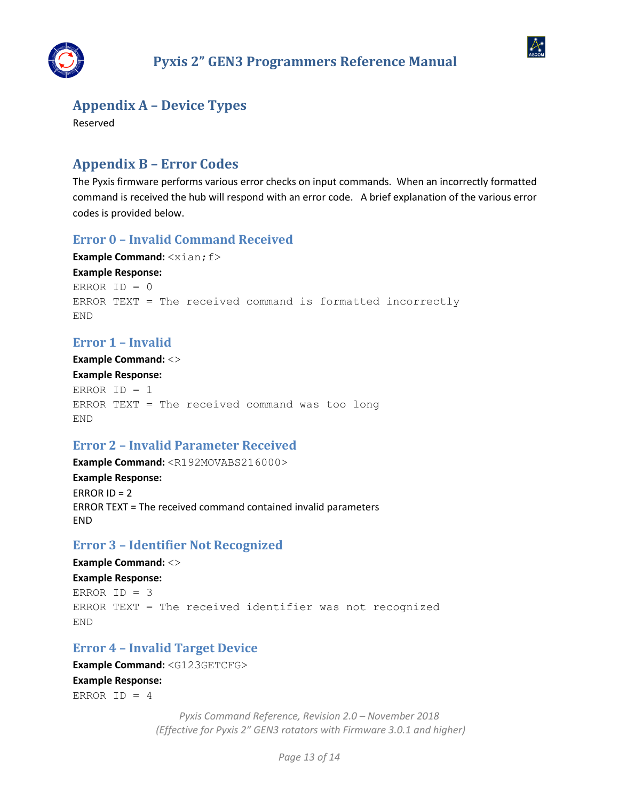



## <span id="page-12-0"></span>**Appendix A – Device Types**

Reserved

# <span id="page-12-1"></span>**Appendix B – Error Codes**

The Pyxis firmware performs various error checks on input commands. When an incorrectly formatted command is received the hub will respond with an error code. A brief explanation of the various error codes is provided below.

## <span id="page-12-2"></span>**Error 0 – Invalid Command Received**

```
Example Command: \langle x \text{ian}; f \rangleExample Response: 
ERROR ID = 0ERROR TEXT = The received command is formatted incorrectly
END
```
## <span id="page-12-3"></span>**Error 1 – Invalid**

**Example Command:** <> **Example Response:**  ERROR ID = 1 ERROR TEXT = The received command was too long END

## <span id="page-12-4"></span>**Error 2 – Invalid Parameter Received**

**Example Command:** <R192MOVABS216000> **Example Response:**  ERROR  $ID = 2$ ERROR TEXT = The received command contained invalid parameters END

## <span id="page-12-5"></span>**Error 3 – Identifier Not Recognized**

**Example Command:** <> **Example Response:**  ERROR  $ID = 3$ ERROR TEXT = The received identifier was not recognized END

## <span id="page-12-6"></span>**Error 4 – Invalid Target Device**

### **Example Command:** <G123GETCFG> **Example Response:**  ERROR ID =  $4$